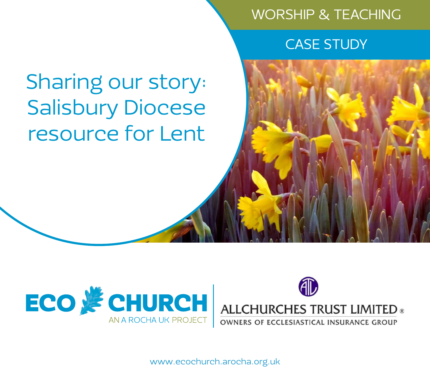## WORSHIP & TEACHING

## CASE STUDY

# Sharing our story: Salisbury Diocese resource for Lent





OWNERS OF ECCLESIASTICAL INSURANCE GROUP

www.ecochurch.arocha.org.uk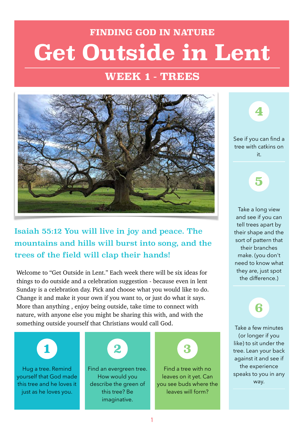## **WEEK 1 - TREES**



Isaiah 55:12 You will live in joy and peace. The mountains and hills will burst into song, and the trees of the field will clap their hands!

Welcome to "Get Outside in Lent." Each week there will be six ideas for things to do outside and a celebration suggestion - because even in lent Sunday is a celebration day. Pick and choose what you would like to do. Change it and make it your own if you want to, or just do what it says. More than anything , enjoy being outside, take time to connect with nature, with anyone else you might be sharing this with, and with the something outside yourself that Christians would call God.

**1**

Hug a tree. Remind yourself that God made this tree and he loves it just as he loves you.



Find an evergreen tree. How would you describe the green of this tree? Be imaginative.



Find a tree with no leaves on it yet. Can you see buds where the leaves will form?

See if you can find a tree with catkins on it.

**5**

**4**

Take a long view and see if you can tell trees apart by their shape and the sort of pattern that their branches make. (you don't need to know what they are, just spot the difference.)

**6**

Take a few minutes (or longer if you like) to sit under the tree. Lean your back against it and see if the experience speaks to you in any way.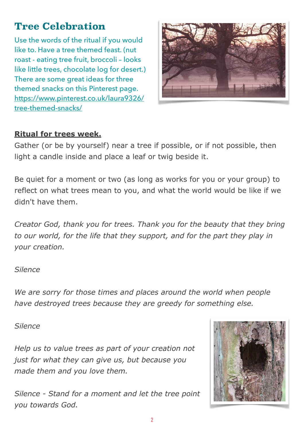# **Tree Celebration**

Use the words of the ritual if you would like to. Have a tree themed feast. (nut roast - eating tree fruit, broccoli – looks like little trees, chocolate log for desert.) There are some great ideas for three themed snacks on this Pinterest page. [https://www.pinterest.co.uk/laura9326/](https://www.pinterest.co.uk/laura9326/tree-themed-snacks/) [tree-themed-snacks/](https://www.pinterest.co.uk/laura9326/tree-themed-snacks/)



### **Ritual for trees week.**

Gather (or be by yourself) near a tree if possible, or if not possible, then light a candle inside and place a leaf or twig beside it.

Be quiet for a moment or two (as long as works for you or your group) to reflect on what trees mean to you, and what the world would be like if we didn't have them.

*Creator God, thank you for trees. Thank you for the beauty that they bring to our world, for the life that they support, and for the part they play in your creation.* 

### *Silence*

*We are sorry for those times and places around the world when people have destroyed trees because they are greedy for something else.* 

### *Silence*

*Help us to value trees as part of your creation not just for what they can give us, but because you made them and you love them.* 

*Silence - Stand for a moment and let the tree point you towards God.*

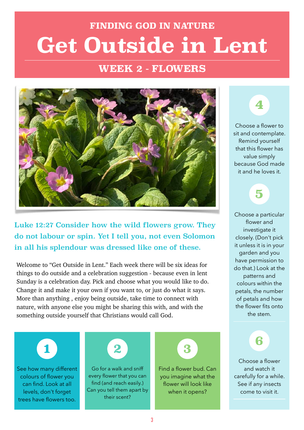### **WEEK 2 - FLOWERS**



Luke 12:27 Consider how the wild flowers grow. They do not labour or spin. Yet I tell you, not even Solomon in all his splendour was dressed like one of these.

Welcome to "Get Outside in Lent." Each week there will be six ideas for things to do outside and a celebration suggestion - because even in lent Sunday is a celebration day. Pick and choose what you would like to do. Change it and make it your own if you want to, or just do what it says. More than anything , enjoy being outside, take time to connect with nature, with anyone else you might be sharing this with, and with the something outside yourself that Christians would call God.





Choose a flower to sit and contemplate. Remind yourself that this flower has value simply because God made it and he loves it.



Choose a particular flower and investigate it closely. (Don't pick it unless it is in your garden and you have permission to do that.) Look at the patterns and colours within the petals, the number of petals and how the flower fits onto the stem.

# **6**

Choose a flower and watch it carefully for a while. See if any insects come to visit it.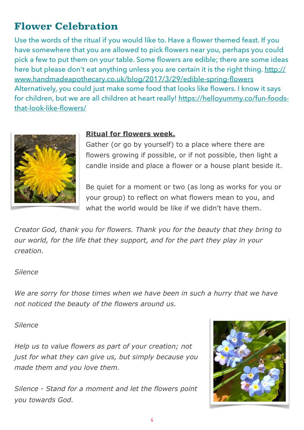# **Flower Celebration**

Use the words of the ritual if you would like to. Have a flower themed feast. If you have somewhere that you are allowed to pick flowers near you, perhaps you could pick a few to put them on your table. Some flowers are edible; there are some ideas here but please don't eat anything unless you are certain it is the right thing. [http://](http://www.handmadeapothecary.co.uk/blog/2017/3/29/edible-spring-flowers) [www.handmadeapothecary.co.uk/blog/2017/3/29/edible-spring-flowers](http://www.handmadeapothecary.co.uk/blog/2017/3/29/edible-spring-flowers) Alternatively, you could just make some food that looks like flowers. I know it says for children, but we are all children at heart really! [https://helloyummy.co/fun-foods](https://helloyummy.co/fun-foods-that-look-like-flowers/)[that-look-like-flowers/](https://helloyummy.co/fun-foods-that-look-like-flowers/)



#### **Ritual for flowers week.**

Gather (or go by yourself) to a place where there are flowers growing if possible, or if not possible, then light a candle inside and place a flower or a house plant beside it.

Be quiet for a moment or two (as long as works for you or your group) to reflect on what flowers mean to you, and what the world would be like if we didn't have them.

*Creator God, thank you for flowers. Thank you for the beauty that they bring to our world, for the life that they support, and for the part they play in your creation.* 

#### *Silence*

We are sorry for those times when we have been in such a hurry that we have *not noticed the beauty of the flowers around us.* 

#### *Silence*

*Help us to value flowers as part of your creation; not just for what they can give us, but simply because you made them and you love them.* 

*Silence - Stand for a moment and let the flowers point you towards God.*

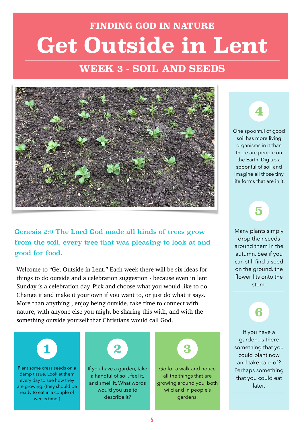## **WEEK 3 - SOIL AND SEEDS**



Genesis 2:9 The Lord God made all kinds of trees grow from the soil, every tree that was pleasing to look at and good for food.

Welcome to "Get Outside in Lent." Each week there will be six ideas for things to do outside and a celebration suggestion - because even in lent Sunday is a celebration day. Pick and choose what you would like to do. Change it and make it your own if you want to, or just do what it says. More than anything , enjoy being outside, take time to connect with nature, with anyone else you might be sharing this with, and with the something outside yourself that Christians would call God.



Plant some cress seeds on a damp tissue. Look at them every day to see how they are growing. (they should be ready to eat in a couple of weeks time.)



If you have a garden, take a handful of soil, feel it, and smell it. What words would you use to describe it?



Go for a walk and notice all the things that are growing around you, both wild and in people's gardens.

One spoonful of good soil has more living organisms in it than there are people on the Earth. Dig up a spoonful of soil and imagine all those tiny life forms that are in it.

**4**

# **5**

Many plants simply drop their seeds around them in the autumn. See if you can still find a seed on the ground. the flower fits onto the stem.

# **6**

If you have a garden, is there something that you could plant now and take care of? Perhaps something that you could eat **l**ater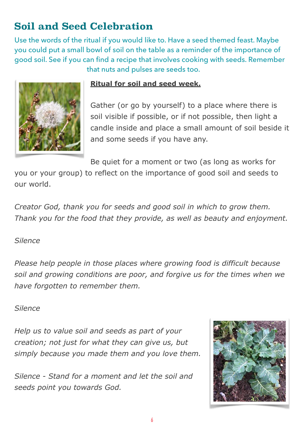# **Soil and Seed Celebration**

Use the words of the ritual if you would like to. Have a seed themed feast. Maybe you could put a small bowl of soil on the table as a reminder of the importance of good soil. See if you can find a recipe that involves cooking with seeds. Remember that nuts and pulses are seeds too.



### **Ritual for soil and seed week.**

Gather (or go by yourself) to a place where there is soil visible if possible, or if not possible, then light a candle inside and place a small amount of soil beside it and some seeds if you have any.

Be quiet for a moment or two (as long as works for

you or your group) to reflect on the importance of good soil and seeds to our world.

*Creator God, thank you for seeds and good soil in which to grow them. Thank you for the food that they provide, as well as beauty and enjoyment.* 

### *Silence*

*Please help people in those places where growing food is difficult because soil and growing conditions are poor, and forgive us for the times when we have forgotten to remember them.* 

### *Silence*

*Help us to value soil and seeds as part of your creation; not just for what they can give us, but simply because you made them and you love them.* 

*Silence - Stand for a moment and let the soil and seeds point you towards God.*

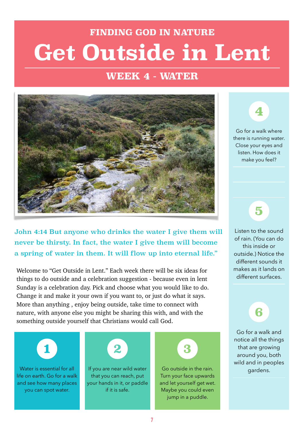## **WEEK 4 - WATER**



John 4:14 But anyone who drinks the water I give them will never be thirsty. In fact, the water I give them will become a spring of water in them. It will flow up into eternal life."

Welcome to "Get Outside in Lent." Each week there will be six ideas for things to do outside and a celebration suggestion - because even in lent Sunday is a celebration day. Pick and choose what you would like to do. Change it and make it your own if you want to, or just do what it says. More than anything , enjoy being outside, take time to connect with nature, with anyone else you might be sharing this with, and with the something outside yourself that Christians would call God.

**1**

life on earth. Go for a walk and see how many places you can spot water.



Water is essential for all either you are near wild water and Go outside in the rain. The gardens. that you can reach, put your hands in it, or paddle if it is safe.



Go outside in the rain. Turn your face upwards and let yourself get wet. Maybe you could even jump in a puddle.

Go for a walk where there is running water. Close your eyes and listen. How does it make you feel?

**4**

# **5**

Listen to the sound of rain. (You can do this inside or outside.) Notice the different sounds it makes as it lands on different surfaces.

**6**

Go for a walk and notice all the things that are growing around you, both wild and in peoples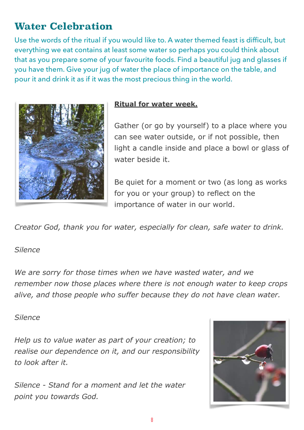# **Water Celebration**

Use the words of the ritual if you would like to. A water themed feast is difficult, but everything we eat contains at least some water so perhaps you could think about that as you prepare some of your favourite foods. Find a beautiful jug and glasses if you have them. Give your jug of water the place of importance on the table, and pour it and drink it as if it was the most precious thing in the world.



#### **Ritual for water week.**

Gather (or go by yourself) to a place where you can see water outside, or if not possible, then light a candle inside and place a bowl or glass of water beside it.

Be quiet for a moment or two (as long as works for you or your group) to reflect on the importance of water in our world.

*Creator God, thank you for water, especially for clean, safe water to drink.* 

#### *Silence*

*We are sorry for those times when we have wasted water, and we remember now those places where there is not enough water to keep crops alive, and those people who suffer because they do not have clean water.* 

### *Silence*

*Help us to value water as part of your creation; to realise our dependence on it, and our responsibility to look after it.* 

*Silence - Stand for a moment and let the water point you towards God.*

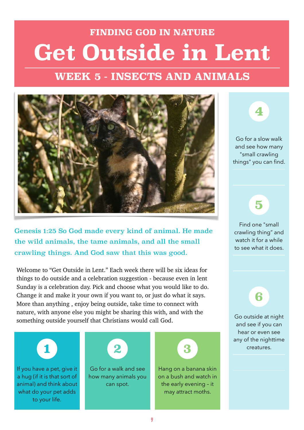# **WEEK 5 - INSECTS AND ANIMALS**



Genesis 1:25 So God made every kind of animal. He made the wild animals, the tame animals, and all the small crawling things. And God saw that this was good.

Welcome to "Get Outside in Lent." Each week there will be six ideas for things to do outside and a celebration suggestion - because even in lent Sunday is a celebration day. Pick and choose what you would like to do. Change it and make it your own if you want to, or just do what it says. More than anything , enjoy being outside, take time to connect with nature, with anyone else you might be sharing this with, and with the something outside yourself that Christians would call God.

**1**

If you have a pet, give it a hug (if it is that sort of animal) and think about what do your pet adds to your life.



Go for a walk and see how many animals you can spot.



Hang on a banana skin on a bush and watch in the early evening – it may attract moths.



Go for a slow walk and see how many "small crawling things" you can find.

**5**

Find one "small crawling thing" and watch it for a while to see what it does.

**6**

Go outside at night and see if you can hear or even see any of the nighttime creatures.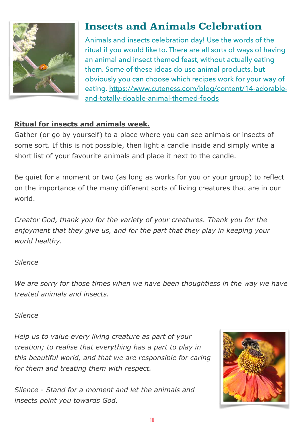

# **Insects and Animals Celebration**

Animals and insects celebration day! Use the words of the ritual if you would like to. There are all sorts of ways of having an animal and insect themed feast, without actually eating them. Some of these ideas do use animal products, but obviously you can choose which recipes work for your way of [eating. https://www.cuteness.com/blog/content/14-adorable](https://www.cuteness.com/blog/content/14-adorable-and-totally-doable-animal-themed-foods)[and-totally-doable-animal-themed-foods](https://www.cuteness.com/blog/content/14-adorable-and-totally-doable-animal-themed-foods)

### **Ritual for insects and animals week.**

Gather (or go by yourself) to a place where you can see animals or insects of some sort. If this is not possible, then light a candle inside and simply write a short list of your favourite animals and place it next to the candle.

Be quiet for a moment or two (as long as works for you or your group) to reflect on the importance of the many different sorts of living creatures that are in our world.

*Creator God, thank you for the variety of your creatures. Thank you for the enjoyment that they give us, and for the part that they play in keeping your world healthy.* 

### *Silence*

We are sorry for those times when we have been thoughtless in the way we have *treated animals and insects.* 

#### *Silence*

*Help us to value every living creature as part of your creation; to realise that everything has a part to play in this beautiful world, and that we are responsible for caring for them and treating them with respect.* 

*Silence - Stand for a moment and let the animals and insects point you towards God.*

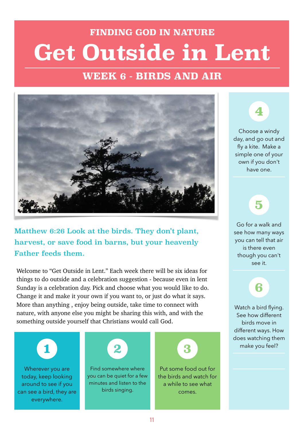## **WEEK 6 - BIRDS AND AIR**



Matthew 6:26 Look at the birds. They don't plant, harvest, or save food in barns, but your heavenly Father feeds them.

Welcome to "Get Outside in Lent." Each week there will be six ideas for things to do outside and a celebration suggestion - because even in lent Sunday is a celebration day. Pick and choose what you would like to do. Change it and make it your own if you want to, or just do what it says. More than anything , enjoy being outside, take time to connect with nature, with anyone else you might be sharing this with, and with the something outside yourself that Christians would call God.

**1**

Wherever you are today, keep looking around to see if you can see a bird, they are everywhere.



Find somewhere where you can be quiet for a few minutes and listen to the birds singing.



Put some food out for the birds and watch for a while to see what comes.

Choose a windy day, and go out and fly a kite. Make a simple one of your own if you don't have one.

**4**

# **5**

Go for a walk and see how many ways you can tell that air is there even though you can't see it.



Watch a bird flying. See how different birds move in different ways. How does watching them make you feel?